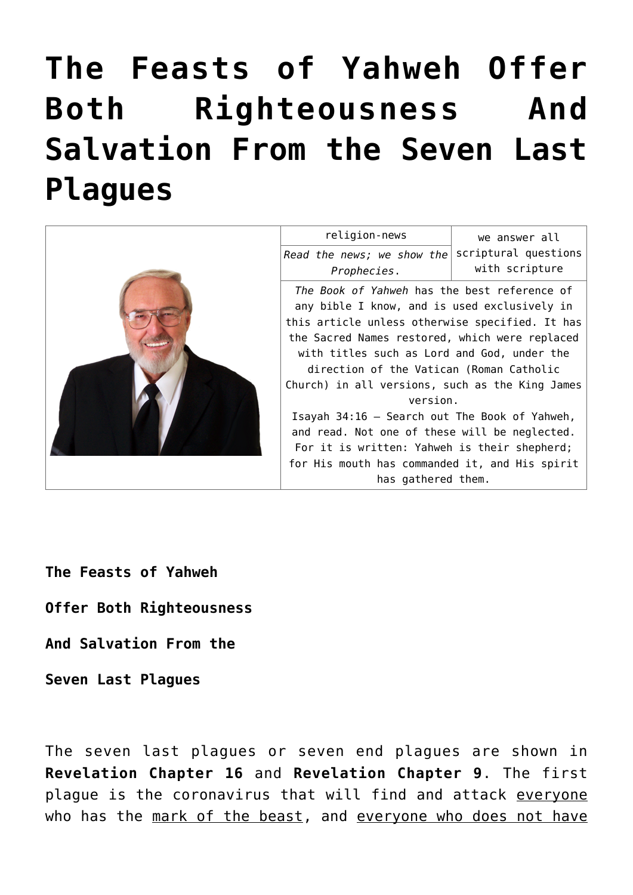# **[The Feasts of Yahweh Offer](https://yahwehsbranch.com/the-feasts-of-yahweh-offer-both-righteousness-and-salvation-from-the-seven-last-plagues/) [Both Righteousness And](https://yahwehsbranch.com/the-feasts-of-yahweh-offer-both-righteousness-and-salvation-from-the-seven-last-plagues/) [Salvation From the Seven Last](https://yahwehsbranch.com/the-feasts-of-yahweh-offer-both-righteousness-and-salvation-from-the-seven-last-plagues/) [Plagues](https://yahwehsbranch.com/the-feasts-of-yahweh-offer-both-righteousness-and-salvation-from-the-seven-last-plagues/)**



**The Feasts of Yahweh**

**Offer Both Righteousness**

**And Salvation From the**

**Seven Last Plagues**

The seven last plagues or seven end plagues are shown in **Revelation Chapter 16** and **Revelation Chapter 9**. The first plague is the coronavirus that will find and attack everyone who has the mark of the beast, and everyone who does not have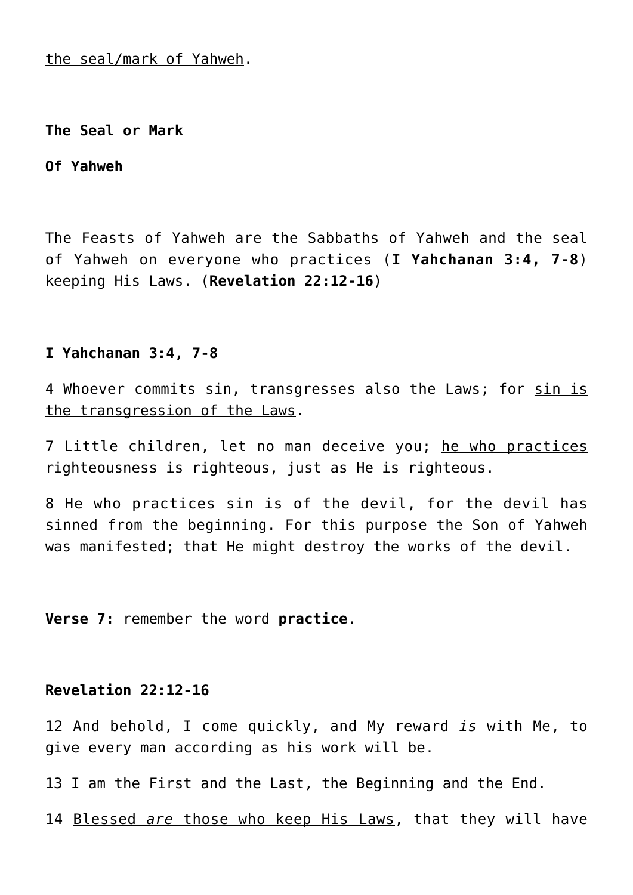the seal/mark of Yahweh.

**The Seal or Mark**

**Of Yahweh**

The Feasts of Yahweh are the Sabbaths of Yahweh and the seal of Yahweh on everyone who practices (**I Yahchanan 3:4, 7-8**) keeping His Laws. (**Revelation 22:12-16**)

## **I Yahchanan 3:4, 7-8**

4 Whoever commits sin, transgresses also the Laws; for sin is the transgression of the Laws.

7 Little children, let no man deceive you; he who practices righteousness is righteous, just as He is righteous.

8 He who practices sin is of the devil, for the devil has sinned from the beginning. For this purpose the Son of Yahweh was manifested; that He might destroy the works of the devil.

**Verse 7:** remember the word **practice**.

## **Revelation 22:12-16**

12 And behold, I come quickly, and My reward *is* with Me, to give every man according as his work will be.

13 I am the First and the Last, the Beginning and the End.

14 Blessed *are* those who keep His Laws, that they will have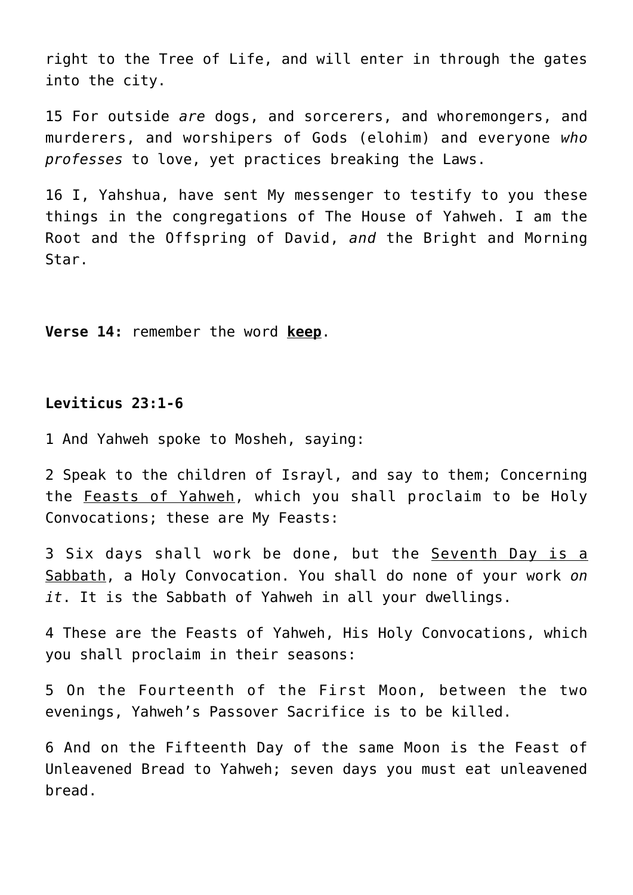right to the Tree of Life, and will enter in through the gates into the city.

15 For outside *are* dogs, and sorcerers, and whoremongers, and murderers, and worshipers of Gods (elohim) and everyone *who professes* to love, yet practices breaking the Laws.

16 I, Yahshua, have sent My messenger to testify to you these things in the congregations of The House of Yahweh. I am the Root and the Offspring of David, *and* the Bright and Morning Star.

**Verse 14:** remember the word **keep**.

## **Leviticus 23:1-6**

1 And Yahweh spoke to Mosheh, saying:

2 Speak to the children of Israyl, and say to them; Concerning the Feasts of Yahweh, which you shall proclaim to be Holy Convocations; these are My Feasts:

3 Six days shall work be done, but the Seventh Day is a Sabbath, a Holy Convocation. You shall do none of your work *on it*. It is the Sabbath of Yahweh in all your dwellings.

4 These are the Feasts of Yahweh, His Holy Convocations, which you shall proclaim in their seasons:

5 On the Fourteenth of the First Moon, between the two evenings, Yahweh's Passover Sacrifice is to be killed.

6 And on the Fifteenth Day of the same Moon is the Feast of Unleavened Bread to Yahweh; seven days you must eat unleavened bread.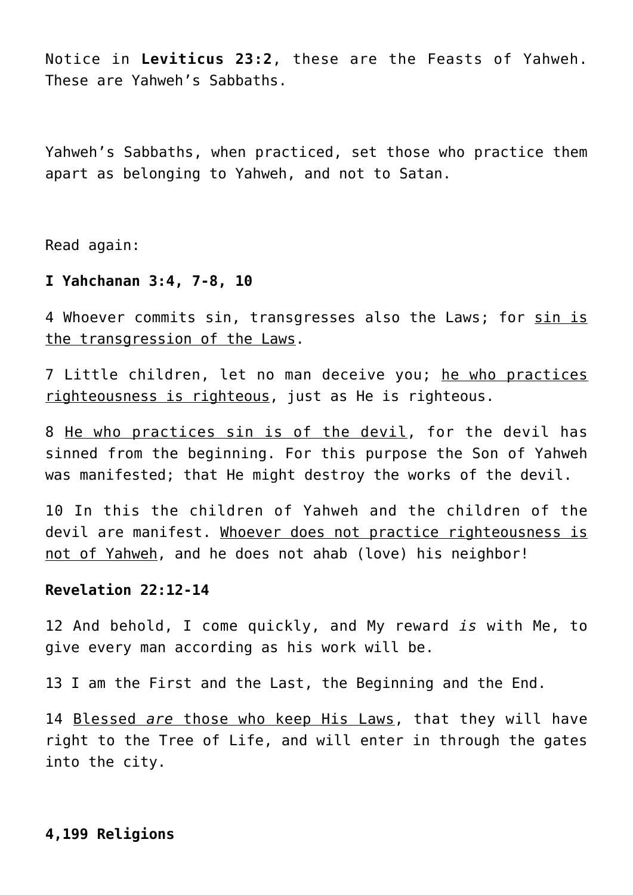Notice in **Leviticus 23:2**, these are the Feasts of Yahweh. These are Yahweh's Sabbaths.

Yahweh's Sabbaths, when practiced, set those who practice them apart as belonging to Yahweh, and not to Satan.

Read again:

## **I Yahchanan 3:4, 7-8, 10**

4 Whoever commits sin, transgresses also the Laws; for sin is the transgression of the Laws.

7 Little children, let no man deceive you; he who practices righteousness is righteous, just as He is righteous.

8 He who practices sin is of the devil, for the devil has sinned from the beginning. For this purpose the Son of Yahweh was manifested; that He might destroy the works of the devil.

10 In this the children of Yahweh and the children of the devil are manifest. Whoever does not practice righteousness is not of Yahweh, and he does not ahab (love) his neighbor!

## **Revelation 22:12-14**

12 And behold, I come quickly, and My reward *is* with Me, to give every man according as his work will be.

13 I am the First and the Last, the Beginning and the End.

14 Blessed *are* those who keep His Laws, that they will have right to the Tree of Life, and will enter in through the gates into the city.

## **4,199 Religions**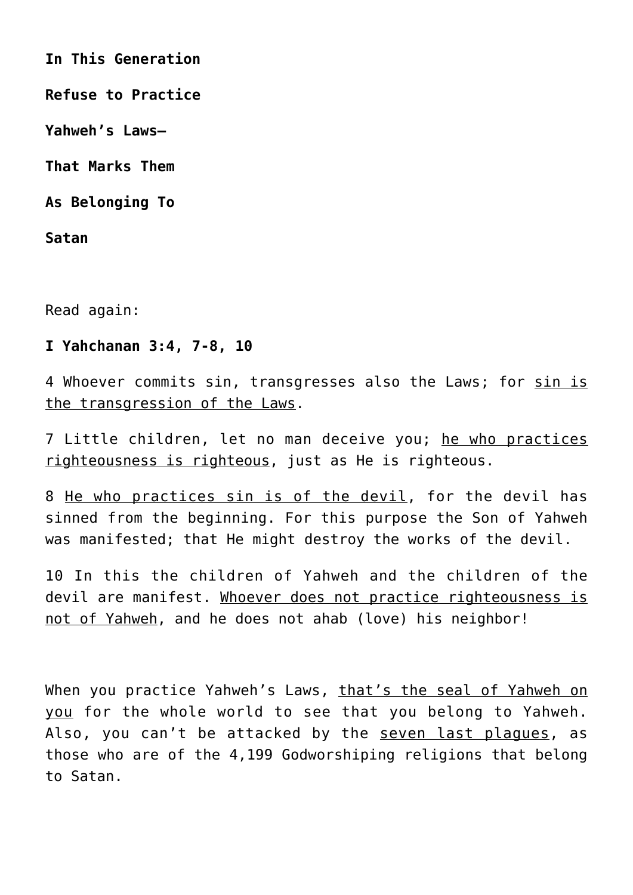**In This Generation**

**Refuse to Practice**

**Yahweh's Laws—**

**That Marks Them**

**As Belonging To**

**Satan**

Read again:

# **I Yahchanan 3:4, 7-8, 10**

4 Whoever commits sin, transgresses also the Laws; for sin is the transgression of the Laws.

7 Little children, let no man deceive you; he who practices righteousness is righteous, just as He is righteous.

8 He who practices sin is of the devil, for the devil has sinned from the beginning. For this purpose the Son of Yahweh was manifested; that He might destroy the works of the devil.

10 In this the children of Yahweh and the children of the devil are manifest. Whoever does not practice righteousness is not of Yahweh, and he does not ahab (love) his neighbor!

When you practice Yahweh's Laws, that's the seal of Yahweh on you for the whole world to see that you belong to Yahweh. Also, you can't be attacked by the seven last plaques, as those who are of the 4,199 Godworshiping religions that belong to Satan.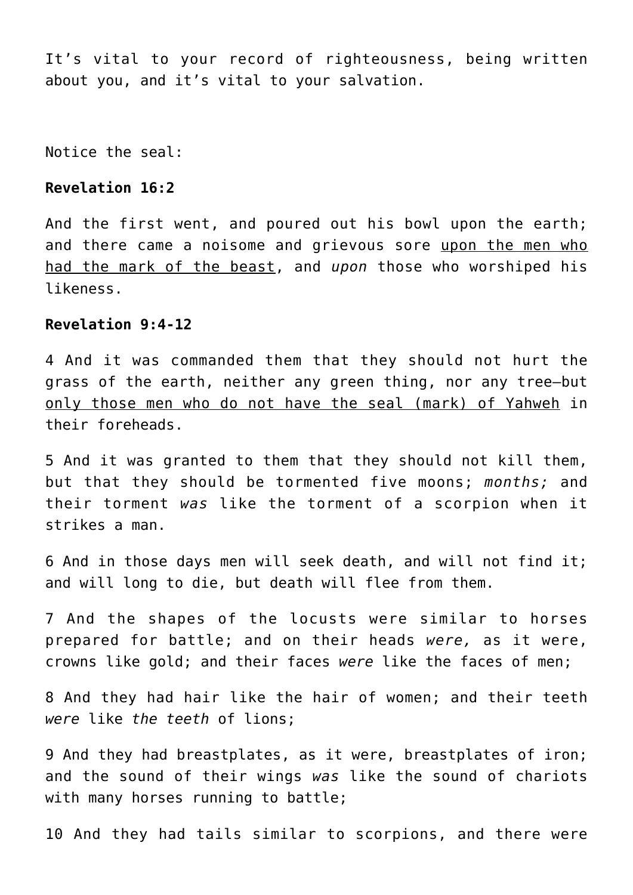It's vital to your record of righteousness, being written about you, and it's vital to your salvation.

Notice the seal:

## **Revelation 16:2**

And the first went, and poured out his bowl upon the earth; and there came a noisome and grievous sore upon the men who had the mark of the beast, and *upon* those who worshiped his likeness.

# **Revelation 9:4-12**

4 And it was commanded them that they should not hurt the grass of the earth, neither any green thing, nor any tree—but only those men who do not have the seal (mark) of Yahweh in their foreheads.

5 And it was granted to them that they should not kill them, but that they should be tormented five moons; *months;* and their torment *was* like the torment of a scorpion when it strikes a man.

6 And in those days men will seek death, and will not find it; and will long to die, but death will flee from them.

7 And the shapes of the locusts were similar to horses prepared for battle; and on their heads *were,* as it were, crowns like gold; and their faces *were* like the faces of men;

8 And they had hair like the hair of women; and their teeth *were* like *the teeth* of lions;

9 And they had breastplates, as it were, breastplates of iron; and the sound of their wings *was* like the sound of chariots with many horses running to battle;

10 And they had tails similar to scorpions, and there were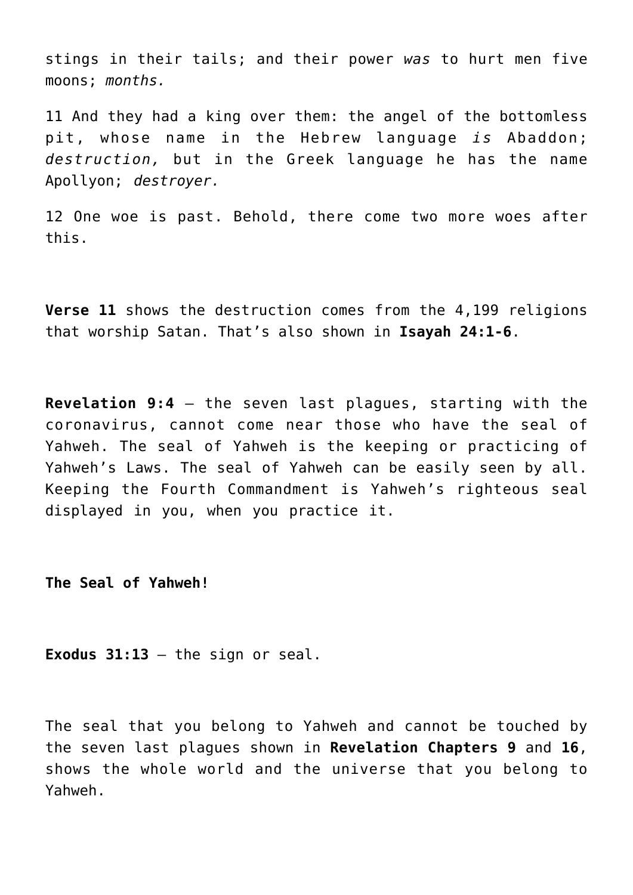stings in their tails; and their power *was* to hurt men five moons; *months.*

11 And they had a king over them: the angel of the bottomless pit, whose name in the Hebrew language *is* Abaddon; *destruction,* but in the Greek language he has the name Apollyon; *destroyer.*

12 One woe is past. Behold, there come two more woes after this.

**Verse 11** shows the destruction comes from the 4,199 religions that worship Satan. That's also shown in **Isayah 24:1-6**.

**Revelation 9:4** – the seven last plagues, starting with the coronavirus, cannot come near those who have the seal of Yahweh. The seal of Yahweh is the keeping or practicing of Yahweh's Laws. The seal of Yahweh can be easily seen by all. Keeping the Fourth Commandment is Yahweh's righteous seal displayed in you, when you practice it.

**The Seal of Yahweh!**

**Exodus 31:13** – the sign or seal.

The seal that you belong to Yahweh and cannot be touched by the seven last plagues shown in **Revelation Chapters 9** and **16**, shows the whole world and the universe that you belong to Yahweh.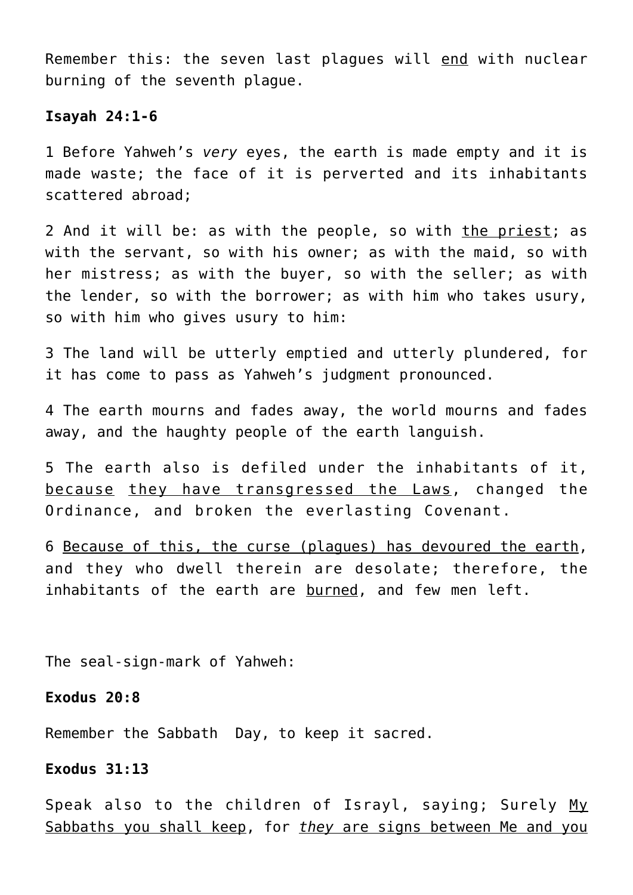Remember this: the seven last plagues will end with nuclear burning of the seventh plague.

#### **Isayah 24:1-6**

1 Before Yahweh's *very* eyes, the earth is made empty and it is made waste; the face of it is perverted and its inhabitants scattered abroad;

2 And it will be: as with the people, so with the priest; as with the servant, so with his owner; as with the maid, so with her mistress; as with the buyer, so with the seller; as with the lender, so with the borrower; as with him who takes usury, so with him who gives usury to him:

3 The land will be utterly emptied and utterly plundered, for it has come to pass as Yahweh's judgment pronounced.

4 The earth mourns and fades away, the world mourns and fades away, and the haughty people of the earth languish.

5 The earth also is defiled under the inhabitants of it, because they have transgressed the Laws, changed the Ordinance, and broken the everlasting Covenant.

6 Because of this, the curse (plagues) has devoured the earth, and they who dwell therein are desolate; therefore, the inhabitants of the earth are burned, and few men left.

The seal-sign-mark of Yahweh:

## **Exodus 20:8**

Remember the Sabbath Day, to keep it sacred.

# **Exodus 31:13**

Speak also to the children of Israyl, saying; Surely My Sabbaths you shall keep, for *they* are signs between Me and you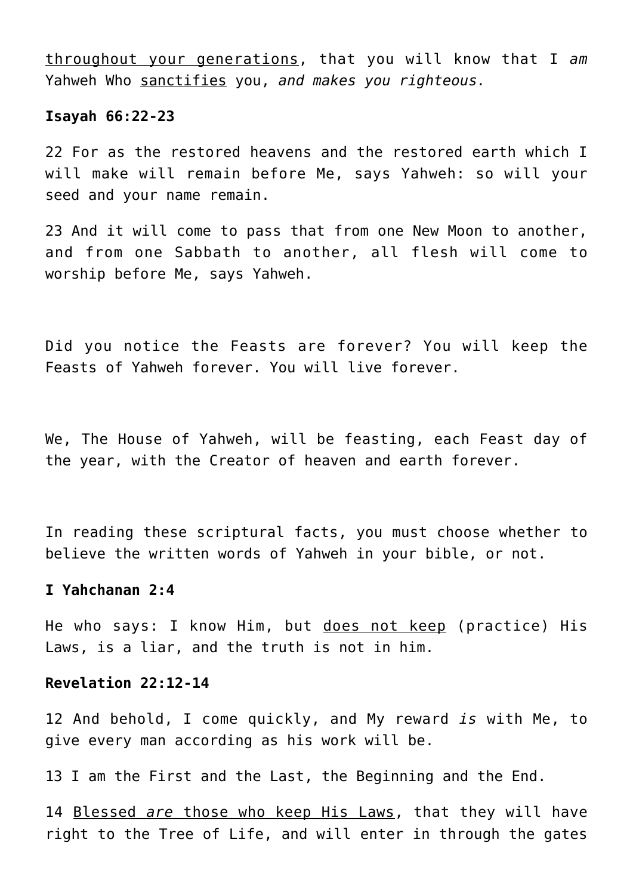throughout your generations, that you will know that I *am* Yahweh Who sanctifies you, *and makes you righteous.*

#### **Isayah 66:22-23**

22 For as the restored heavens and the restored earth which I will make will remain before Me, says Yahweh: so will your seed and your name remain.

23 And it will come to pass that from one New Moon to another, and from one Sabbath to another, all flesh will come to worship before Me, says Yahweh.

Did you notice the Feasts are forever? You will keep the Feasts of Yahweh forever. You will live forever.

We, The House of Yahweh, will be feasting, each Feast day of the year, with the Creator of heaven and earth forever.

In reading these scriptural facts, you must choose whether to believe the written words of Yahweh in your bible, or not.

## **I Yahchanan 2:4**

He who says: I know Him, but does not keep (practice) His Laws, is a liar, and the truth is not in him.

#### **Revelation 22:12-14**

12 And behold, I come quickly, and My reward *is* with Me, to give every man according as his work will be.

13 I am the First and the Last, the Beginning and the End.

14 Blessed *are* those who keep His Laws, that they will have right to the Tree of Life, and will enter in through the gates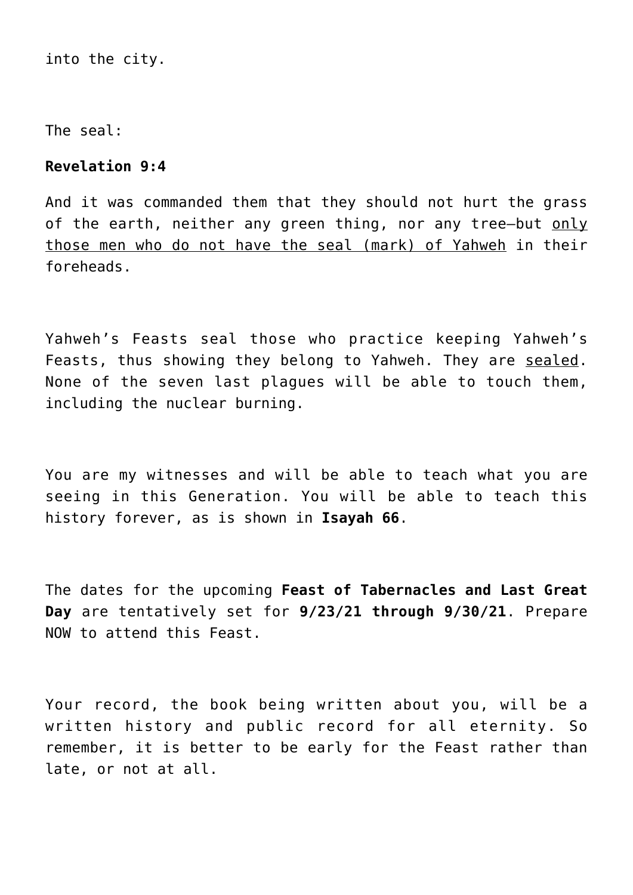into the city.

The seal:

# **Revelation 9:4**

And it was commanded them that they should not hurt the grass of the earth, neither any green thing, nor any tree-but only those men who do not have the seal (mark) of Yahweh in their foreheads.

Yahweh's Feasts seal those who practice keeping Yahweh's Feasts, thus showing they belong to Yahweh. They are sealed. None of the seven last plagues will be able to touch them, including the nuclear burning.

You are my witnesses and will be able to teach what you are seeing in this Generation. You will be able to teach this history forever, as is shown in **Isayah 66**.

The dates for the upcoming **Feast of Tabernacles and Last Great Day** are tentatively set for **9/23/21 through 9/30/21**. Prepare NOW to attend this Feast.

Your record, the book being written about you, will be a written history and public record for all eternity. So remember, it is better to be early for the Feast rather than late, or not at all.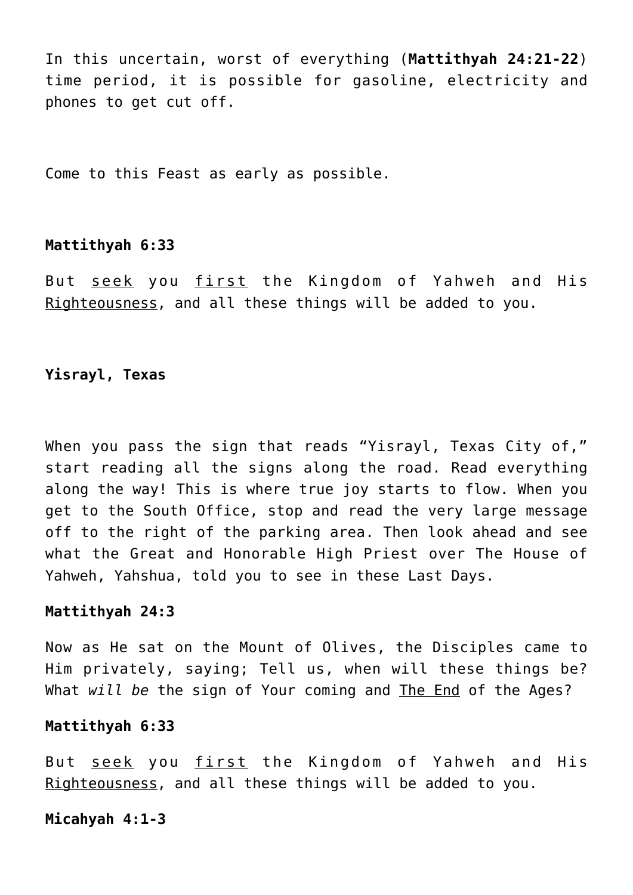In this uncertain, worst of everything (**Mattithyah 24:21-22**) time period, it is possible for gasoline, electricity and phones to get cut off.

Come to this Feast as early as possible.

#### **Mattithyah 6:33**

But seek you first the Kingdom of Yahweh and His Righteousness, and all these things will be added to you.

# **Yisrayl, Texas**

When you pass the sign that reads "Yisrayl, Texas City of," start reading all the signs along the road. Read everything along the way! This is where true joy starts to flow. When you get to the South Office, stop and read the very large message off to the right of the parking area. Then look ahead and see what the Great and Honorable High Priest over The House of Yahweh, Yahshua, told you to see in these Last Days.

## **Mattithyah 24:3**

Now as He sat on the Mount of Olives, the Disciples came to Him privately, saying; Tell us, when will these things be? What *will be* the sign of Your coming and The End of the Ages?

## **Mattithyah 6:33**

But seek you first the Kingdom of Yahweh and His Righteousness, and all these things will be added to you.

## **Micahyah 4:1-3**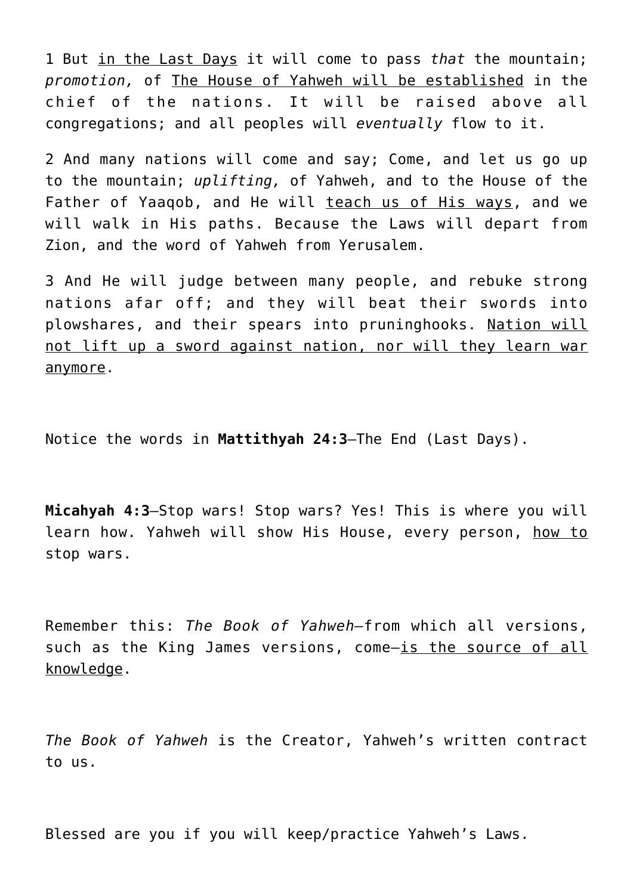1 But in the Last Days it will come to pass *that* the mountain; *promotion,* of The House of Yahweh will be established in the chief of the nations. It will be raised above all congregations; and all peoples will *eventually* flow to it.

2 And many nations will come and say; Come, and let us go up to the mountain; *uplifting,* of Yahweh, and to the House of the Father of Yaaqob, and He will teach us of His ways, and we will walk in His paths. Because the Laws will depart from Zion, and the word of Yahweh from Yerusalem.

3 And He will judge between many people, and rebuke strong nations afar off; and they will beat their swords into plowshares, and their spears into pruninghooks. Nation will not lift up a sword against nation, nor will they learn war anymore.

Notice the words in **Mattithyah 24:3**—The End (Last Days).

**Micahyah 4:3**—Stop wars! Stop wars? Yes! This is where you will learn how. Yahweh will show His House, every person, how to stop wars.

Remember this: *The Book of Yahweh—*from which all versions, such as the King James versions, come—is the source of all knowledge.

*The Book of Yahweh* is the Creator, Yahweh's written contract to us.

Blessed are you if you will keep/practice Yahweh's Laws.